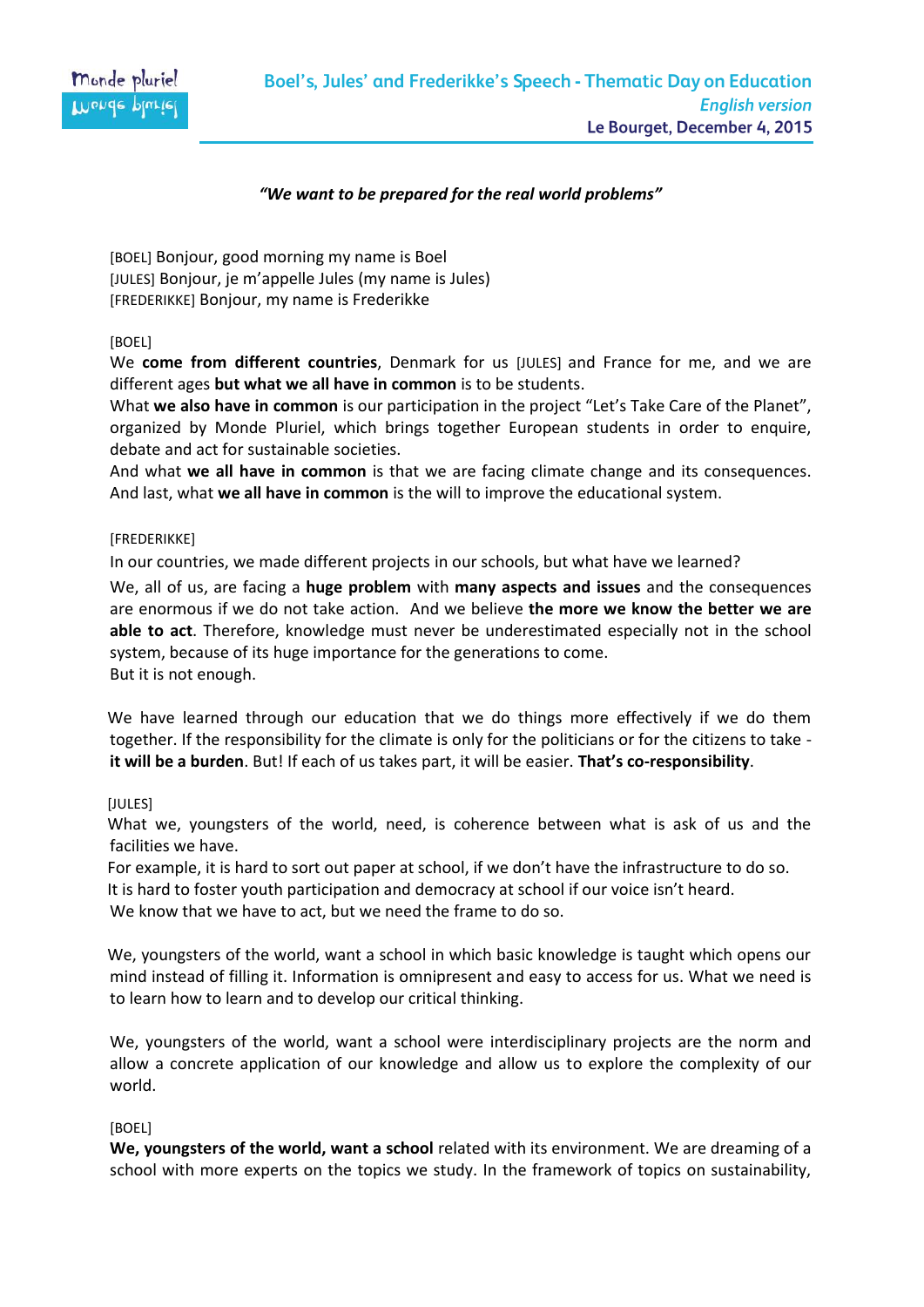

# *"We want to be prepared for the real world problems"*

[BOEL] Bonjour, good morning my name is Boel [JULES] Bonjour, je m'appelle Jules (my name is Jules) [FREDERIKKE] Bonjour, my name is Frederikke

# [BOEL]

We **come from different countries**, Denmark for us [JULES] and France for me, and we are different ages **but what we all have in common** is to be students.

What **we also have in common** is our participation in the project "Let's Take Care of the Planet", organized by Monde Pluriel, which brings together European students in order to enquire, debate and act for sustainable societies.

And what **we all have in common** is that we are facing climate change and its consequences. And last, what **we all have in common** is the will to improve the educational system.

# [FREDERIKKE]

In our countries, we made different projects in our schools, but what have we learned?

We, all of us, are facing a **huge problem** with **many aspects and issues** and the consequences are enormous if we do not take action. And we believe **the more we know the better we are able to act**. Therefore, knowledge must never be underestimated especially not in the school system, because of its huge importance for the generations to come. But it is not enough.

We have learned through our education that we do things more effectively if we do them together. If the responsibility for the climate is only for the politicians or for the citizens to take **it will be a burden**. But! If each of us takes part, it will be easier. **That's co-responsibility**.

# [JULES]

What we, youngsters of the world, need, is coherence between what is ask of us and the facilities we have.

For example, it is hard to sort out paper at school, if we don't have the infrastructure to do so. It is hard to foster youth participation and democracy at school if our voice isn't heard.

We know that we have to act, but we need the frame to do so.

We, youngsters of the world, want a school in which basic knowledge is taught which opens our mind instead of filling it. Information is omnipresent and easy to access for us. What we need is to learn how to learn and to develop our critical thinking.

We, youngsters of the world, want a school were interdisciplinary projects are the norm and allow a concrete application of our knowledge and allow us to explore the complexity of our world.

# [BOEL]

**We, youngsters of the world, want a school** related with its environment. We are dreaming of a school with more experts on the topics we study. In the framework of topics on sustainability,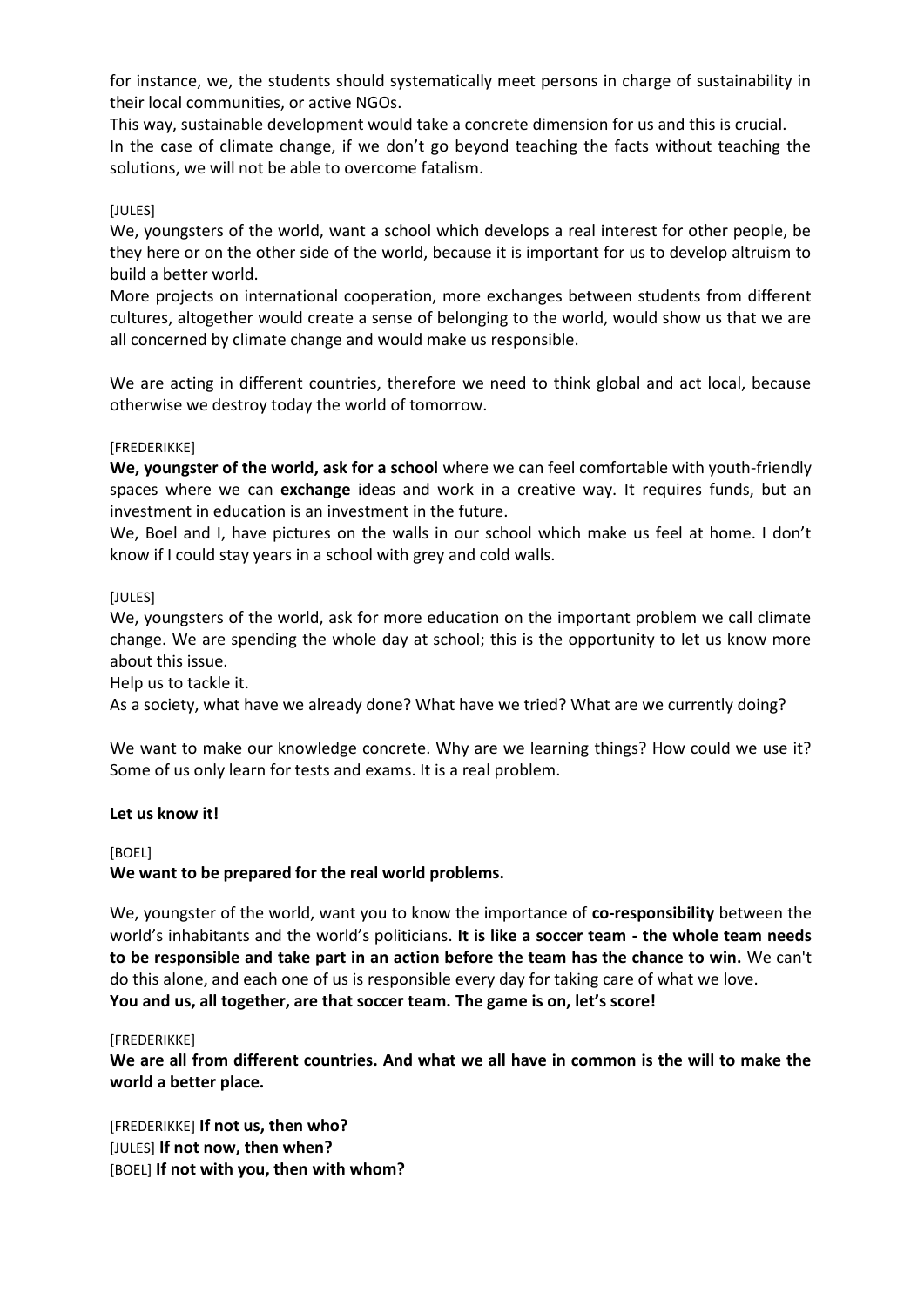for instance, we, the students should systematically meet persons in charge of sustainability in their local communities, or active NGOs.

This way, sustainable development would take a concrete dimension for us and this is crucial. In the case of climate change, if we don't go beyond teaching the facts without teaching the solutions, we will not be able to overcome fatalism.

# [JULES]

We, youngsters of the world, want a school which develops a real interest for other people, be they here or on the other side of the world, because it is important for us to develop altruism to build a better world.

More projects on international cooperation, more exchanges between students from different cultures, altogether would create a sense of belonging to the world, would show us that we are all concerned by climate change and would make us responsible.

We are acting in different countries, therefore we need to think global and act local, because otherwise we destroy today the world of tomorrow.

# [FREDERIKKE]

**We, youngster of the world, ask for a school** where we can feel comfortable with youth-friendly spaces where we can **exchange** ideas and work in a creative way. It requires funds, but an investment in education is an investment in the future.

We, Boel and I, have pictures on the walls in our school which make us feel at home. I don't know if I could stay years in a school with grey and cold walls.

### [JULES]

We, youngsters of the world, ask for more education on the important problem we call climate change. We are spending the whole day at school; this is the opportunity to let us know more about this issue.

Help us to tackle it.

As a society, what have we already done? What have we tried? What are we currently doing?

We want to make our knowledge concrete. Why are we learning things? How could we use it? Some of us only learn for tests and exams. It is a real problem.

# **Let us know it!**

[BOEL]

**We want to be prepared for the real world problems.**

We, youngster of the world, want you to know the importance of **co-responsibility** between the world's inhabitants and the world's politicians. **It is like a soccer team - the whole team needs to be responsible and take part in an action before the team has the chance to win.** We can't do this alone, and each one of us is responsible every day for taking care of what we love. **You and us, all together, are that soccer team. The game is on, let's score!** 

#### [FREDERIKKE]

**We are all from different countries. And what we all have in common is the will to make the world a better place.** 

[FREDERIKKE] **If not us, then who?**  [JULES] **If not now, then when?** [BOEL] **If not with you, then with whom?**